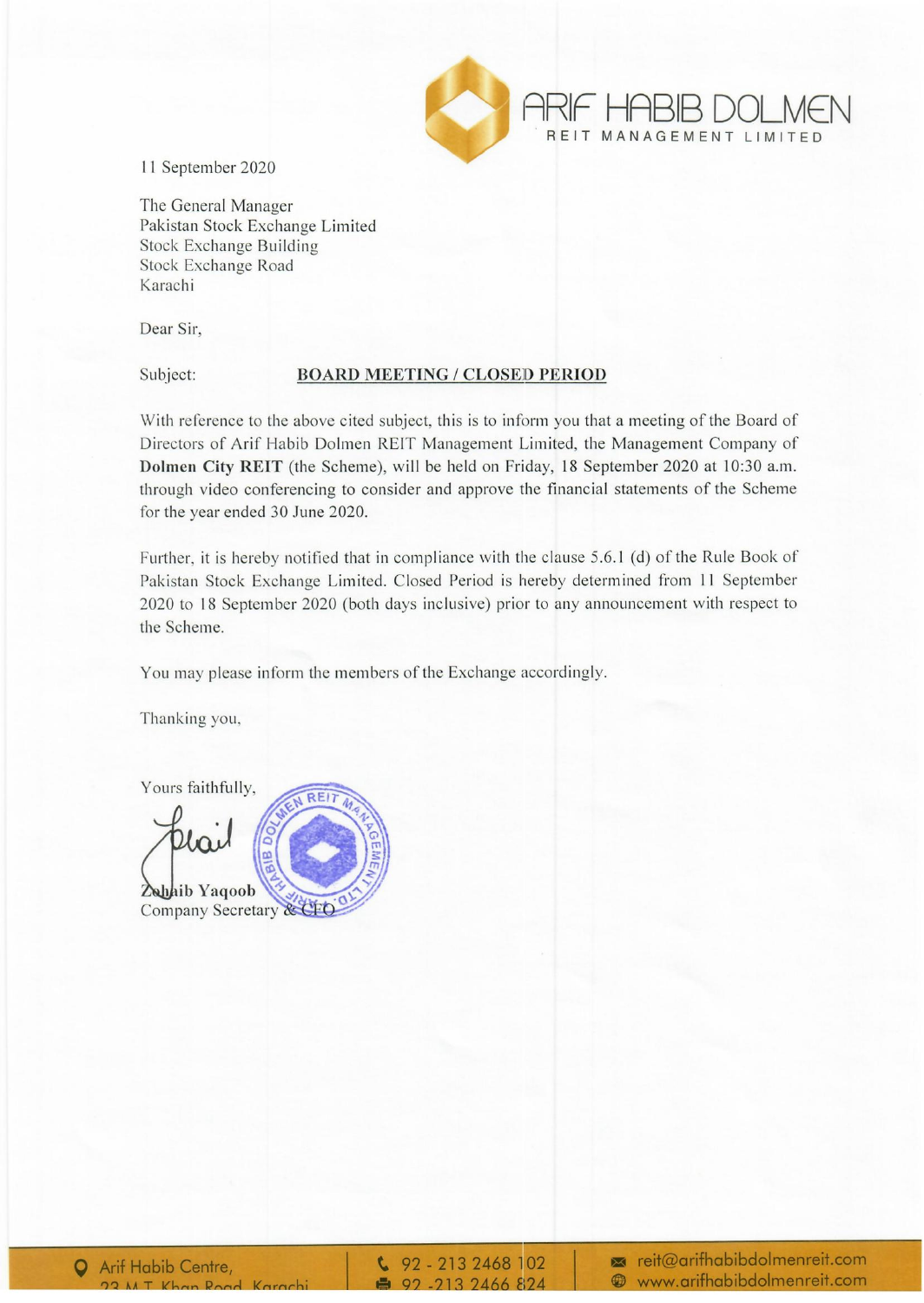

11 September 2020

The General Manager Pakistan Stock Exchange Limited Stock Exchange Building Stock Exchange Road Karachi

Dear Sir,

## Subject: **BOARD** MEETING / CLOSED **PERIOD**

With reference to the above cited subject, this is to inform you that a meeting of the Board of Directors of Arif Habib Dolmen REIT Management Limited, the Management Company of **Dolmen** City **REIT** (the Scheme), will be held on Friday, 18 September 2020 at 10:30 a.m. through video conferencing to consider and approve the financial statements of the Scheme for the year ended 30 June 2020.

Further, it is hereby notified that in compliance with the clause 5.6.1 (d) of the Rule Book of Pakistan Stock Exchange Limited. Closed Period is hereby determined from II September 2020 to 18 September 2020 (both days inclusive) prior to any announcement with respect to the Scheme.

You may please inform the members of the Exchange accordingly.

Thanking you,

Yours faithfully, Zahaib Yaqoob Company Secretary & CFC